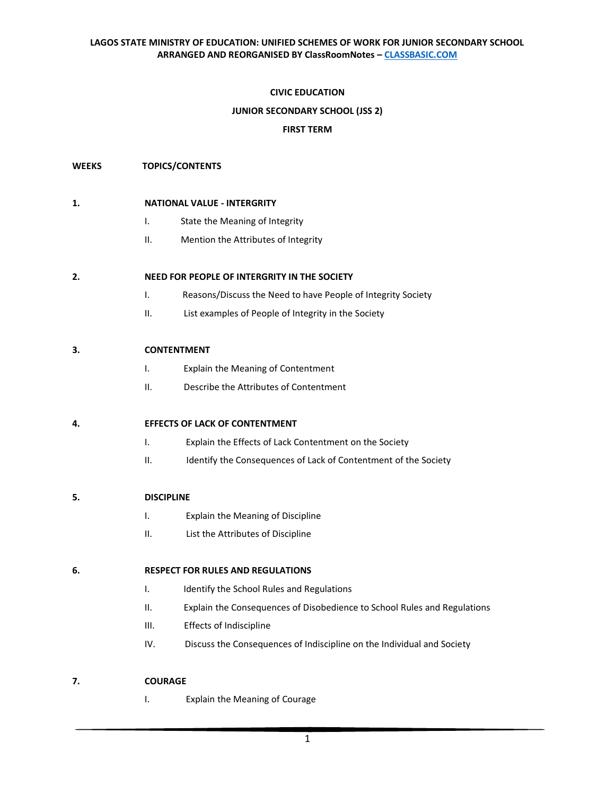# **CIVIC EDUCATION**

# **JUNIOR SECONDARY SCHOOL (JSS 2)**

# **FIRST TERM**

# **WEEKS TOPICS/CONTENTS**

### **1. NATIONAL VALUE - INTERGRITY**

- I. State the Meaning of Integrity
- II. Mention the Attributes of Integrity

# **2. NEED FOR PEOPLE OF INTERGRITY IN THE SOCIETY**

- I. Reasons/Discuss the Need to have People of Integrity Society
- II. List examples of People of Integrity in the Society

# **3. CONTENTMENT**

- I. Explain the Meaning of Contentment
- II. Describe the Attributes of Contentment

# **4. EFFECTS OF LACK OF CONTENTMENT**

- I. Explain the Effects of Lack Contentment on the Society
- II. Identify the Consequences of Lack of Contentment of the Society

# **5. DISCIPLINE**

- I. Explain the Meaning of Discipline
- II. List the Attributes of Discipline

# **6. RESPECT FOR RULES AND REGULATIONS**

- I. Identify the School Rules and Regulations
- II. Explain the Consequences of Disobedience to School Rules and Regulations
- III. Effects of Indiscipline
- IV. Discuss the Consequences of Indiscipline on the Individual and Society

# **7. COURAGE**

I. Explain the Meaning of Courage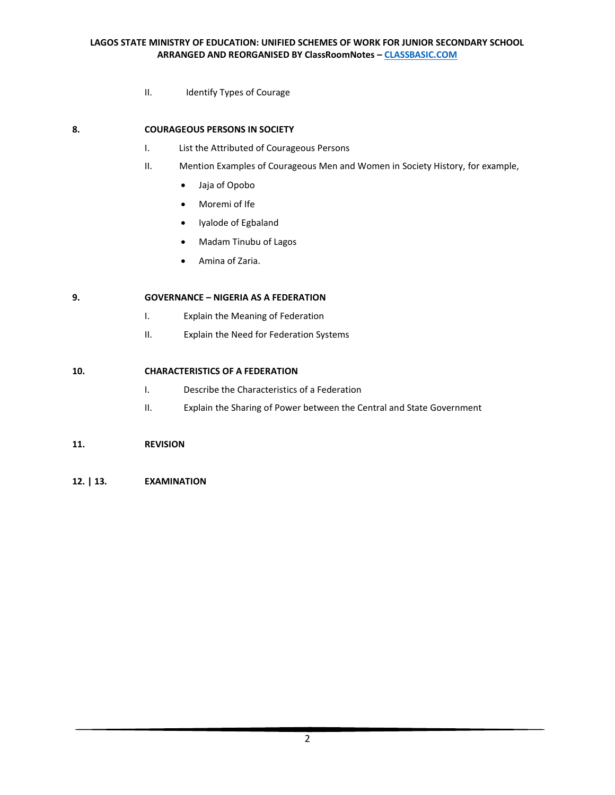II. Identify Types of Courage

# **8. COURAGEOUS PERSONS IN SOCIETY**

- I. List the Attributed of Courageous Persons
- II. Mention Examples of Courageous Men and Women in Society History, for example,
	- Jaja of Opobo
	- Moremi of Ife
	- Iyalode of Egbaland
	- Madam Tinubu of Lagos
	- Amina of Zaria.

# **9. GOVERNANCE – NIGERIA AS A FEDERATION**

- I. Explain the Meaning of Federation
- II. Explain the Need for Federation Systems

# **10. CHARACTERISTICS OF A FEDERATION**

- I. Describe the Characteristics of a Federation
- II. Explain the Sharing of Power between the Central and State Government

# **11. REVISION**

**12. | 13. EXAMINATION**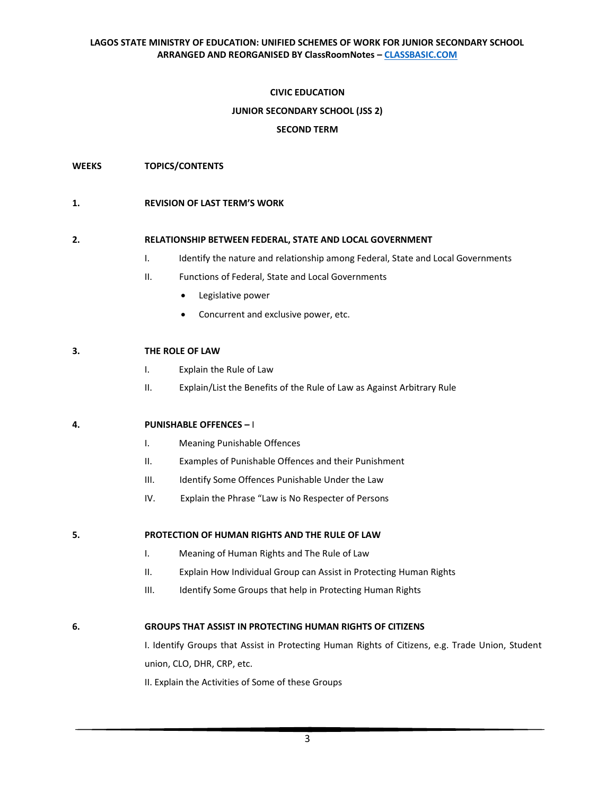# **CIVIC EDUCATION**

# **JUNIOR SECONDARY SCHOOL (JSS 2)**

# **SECOND TERM**

**WEEKS TOPICS/CONTENTS**

#### **1. REVISION OF LAST TERM'S WORK**

#### **2. RELATIONSHIP BETWEEN FEDERAL, STATE AND LOCAL GOVERNMENT**

- I. Identify the nature and relationship among Federal, State and Local Governments
- II. Functions of Federal, State and Local Governments
	- Legislative power
	- Concurrent and exclusive power, etc.

# **3. THE ROLE OF LAW**

- I. Explain the Rule of Law
- II. Explain/List the Benefits of the Rule of Law as Against Arbitrary Rule

# **4. PUNISHABLE OFFENCES –** I

- I. Meaning Punishable Offences
- II. Examples of Punishable Offences and their Punishment
- III. Identify Some Offences Punishable Under the Law
- IV. Explain the Phrase "Law is No Respecter of Persons

**5. PROTECTION OF HUMAN RIGHTS AND THE RULE OF LAW**

- I. Meaning of Human Rights and The Rule of Law
- II. Explain How Individual Group can Assist in Protecting Human Rights
- III. Identify Some Groups that help in Protecting Human Rights

#### **6. GROUPS THAT ASSIST IN PROTECTING HUMAN RIGHTS OF CITIZENS**

I. Identify Groups that Assist in Protecting Human Rights of Citizens, e.g. Trade Union, Student union, CLO, DHR, CRP, etc.

II. Explain the Activities of Some of these Groups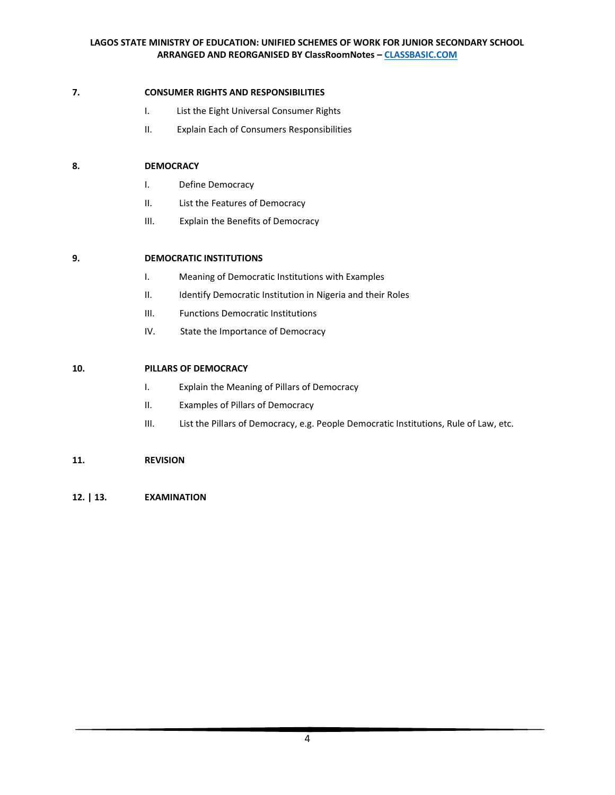# **7. CONSUMER RIGHTS AND RESPONSIBILITIES**

- I. List the Eight Universal Consumer Rights
- II. Explain Each of Consumers Responsibilities

# **8. DEMOCRACY**

- I. Define Democracy
- II. List the Features of Democracy
- III. Explain the Benefits of Democracy

# **9. DEMOCRATIC INSTITUTIONS**

- I. Meaning of Democratic Institutions with Examples
- II. Identify Democratic Institution in Nigeria and their Roles
- III. Functions Democratic Institutions
- IV. State the Importance of Democracy

# **10. PILLARS OF DEMOCRACY**

- I. Explain the Meaning of Pillars of Democracy
- II. Examples of Pillars of Democracy
- III. List the Pillars of Democracy, e.g. People Democratic Institutions, Rule of Law, etc.

# **11. REVISION**

**12. | 13. EXAMINATION**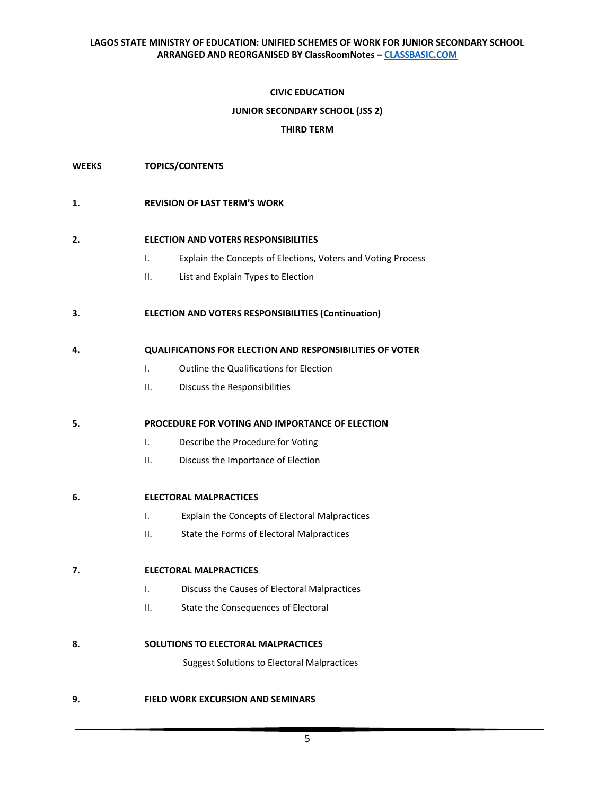# **CIVIC EDUCATION**

# **JUNIOR SECONDARY SCHOOL (JSS 2)**

# **THIRD TERM**

**WEEKS TOPICS/CONTENTS**

### **1. REVISION OF LAST TERM'S WORK**

#### **2. ELECTION AND VOTERS RESPONSIBILITIES**

- I. Explain the Concepts of Elections, Voters and Voting Process
- II. List and Explain Types to Election

# **3. ELECTION AND VOTERS RESPONSIBILITIES (Continuation)**

#### **4. QUALIFICATIONS FOR ELECTION AND RESPONSIBILITIES OF VOTER**

- I. Outline the Qualifications for Election
- II. Discuss the Responsibilities

#### **5. PROCEDURE FOR VOTING AND IMPORTANCE OF ELECTION**

- I. Describe the Procedure for Voting
- II. Discuss the Importance of Election

# **6. ELECTORAL MALPRACTICES**

- I. Explain the Concepts of Electoral Malpractices
- II. State the Forms of Electoral Malpractices

# **7. ELECTORAL MALPRACTICES**

- I. Discuss the Causes of Electoral Malpractices
- II. State the Consequences of Electoral

#### **8. SOLUTIONS TO ELECTORAL MALPRACTICES**

Suggest Solutions to Electoral Malpractices

# **9. FIELD WORK EXCURSION AND SEMINARS**